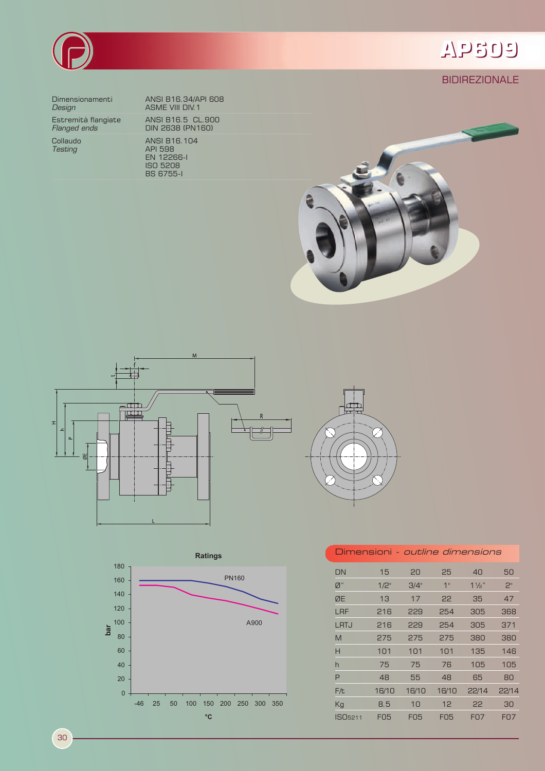

**BIDIREZIONALE** 



**Design Contract Contract ASME VIII DIV.1** 

Estremità flangiate<br>*Flanged ends* 

Dimensionamenti ANSI B16.34/API 608 ANSI B16.5 CL.900<br>DIN 2638 (PN160) Collaudo ANSI B16.104 *Testing* API 598 EN 12266-I ISO 5208 BS 6755-I









| Dimensioni - <i>outline dimensions</i> |            |            |            |                |                |
|----------------------------------------|------------|------------|------------|----------------|----------------|
| DN                                     | 15         | 20         | 25         | 40             | 50             |
| Ø"                                     | 1/2"       | 3/4"       | 1"         | $1\frac{1}{2}$ | 2 <sup>n</sup> |
| ØE                                     | 13         | 17         | 22         | 35             | 47             |
| LRF                                    | 216        | 229        | 254        | 305            | 368            |
| LRTJ                                   | 216        | 229        | 254        | 305            | 371            |
| M                                      | 275        | 275        | 275        | 380            | 380            |
| н                                      | 101        | 101        | 101        | 135            | 146            |
| h                                      | 75         | 75         | 76         | 105            | 105            |
| P                                      | 48         | 55         | 48         | 65             | 80             |
| F/t                                    | 16/10      | 16/10      | 16/10      | 22/14          | 22/14          |
| Кg                                     | 8.5        | 10         | 12         | 22             | 30             |
| ISO <sub>5211</sub>                    | <b>FO5</b> | <b>FO5</b> | <b>FO5</b> | <b>FO7</b>     | <b>FO7</b>     |